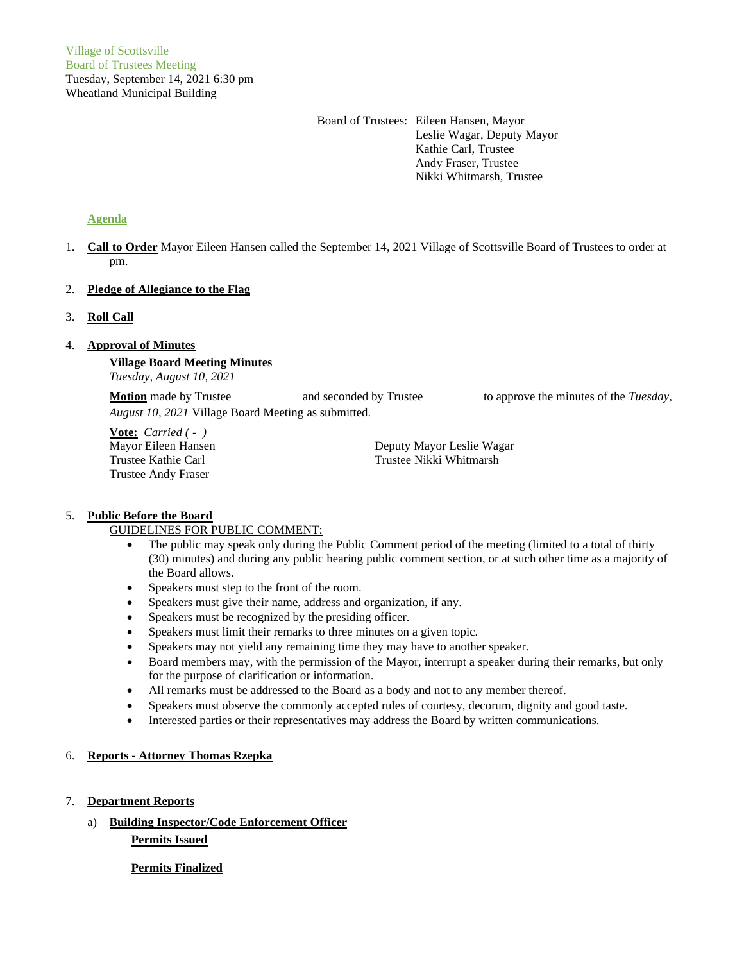Board of Trustees: Eileen Hansen, Mayor Leslie Wagar, Deputy Mayor Kathie Carl, Trustee Andy Fraser, Trustee Nikki Whitmarsh, Trustee

# **Agenda**

1. **Call to Order** Mayor Eileen Hansen called the September 14, 2021 Village of Scottsville Board of Trustees to order at pm.

# 2. **Pledge of Allegiance to the Flag**

# 3. **Roll Call**

# 4. **Approval of Minutes**

**Village Board Meeting Minutes** *Tuesday, August 10, 2021*

**Motion** made by Trustee and seconded by Trustee to approve the minutes of the *Tuesday*, *August 10, 2021* Village Board Meeting as submitted.

**Vote:** *Carried ( - )* Trustee Andy Fraser

Mayor Eileen Hansen Deputy Mayor Leslie Wagar Trustee Kathie Carl Trustee Nikki Whitmarsh

#### 5. **Public Before the Board**

#### GUIDELINES FOR PUBLIC COMMENT:

- The public may speak only during the Public Comment period of the meeting (limited to a total of thirty (30) minutes) and during any public hearing public comment section, or at such other time as a majority of the Board allows.
- Speakers must step to the front of the room.
- Speakers must give their name, address and organization, if any.
- Speakers must be recognized by the presiding officer.
- Speakers must limit their remarks to three minutes on a given topic.
- Speakers may not yield any remaining time they may have to another speaker.
- Board members may, with the permission of the Mayor, interrupt a speaker during their remarks, but only for the purpose of clarification or information.
- All remarks must be addressed to the Board as a body and not to any member thereof.
- Speakers must observe the commonly accepted rules of courtesy, decorum, dignity and good taste.
- Interested parties or their representatives may address the Board by written communications.

#### 6. **Reports - Attorney Thomas Rzepka**

- 7. **Department Reports**
	- a) **Building Inspector/Code Enforcement Officer**

**Permits Issued**

**Permits Finalized**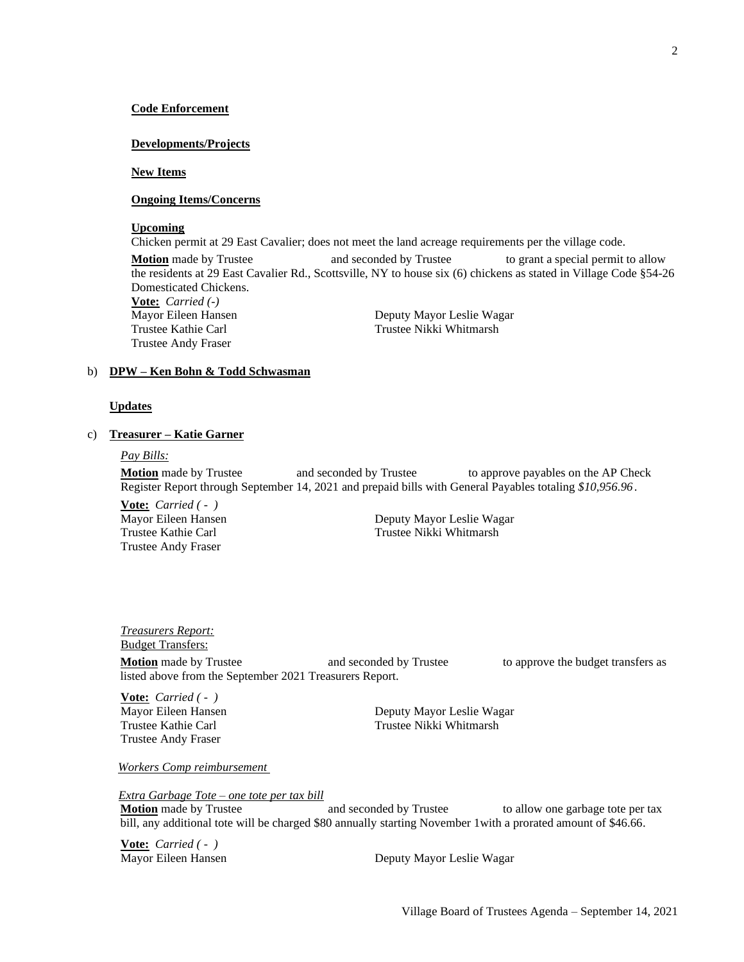#### **Code Enforcement**

#### **Developments/Projects**

#### **New Items**

# **Ongoing Items/Concerns**

#### **Upcoming**

Chicken permit at 29 East Cavalier; does not meet the land acreage requirements per the village code.

**Motion** made by Trustee and seconded by Trustee to grant a special permit to allow the residents at 29 East Cavalier Rd., Scottsville, NY to house six (6) chickens as stated in Village Code §54-26 Domesticated Chickens.

**Vote:** *Carried (-)* Trustee Andy Fraser

Deputy Mayor Leslie Wagar Trustee Kathie Carl Trustee Nikki Whitmarsh

#### b) **DPW – Ken Bohn & Todd Schwasman**

#### **Updates**

#### c) **Treasurer – Katie Garner**

#### *Pay Bills:*

**Motion** made by Trustee and seconded by Trustee to approve payables on the AP Check Register Report through September 14, 2021 and prepaid bills with General Payables totaling *\$10,956.96*.

**Vote:** *Carried ( - )* Trustee Andy Fraser

Mayor Eileen Hansen Deputy Mayor Leslie Wagar Trustee Kathie Carl Trustee Nikki Whitmarsh

*Treasurers Report:* Budget Transfers: **Motion** made by Trustee **and seconded by Trustee** to approve the budget transfers as listed above from the September 2021 Treasurers Report.

**Vote:** *Carried ( - )* Trustee Andy Fraser

Mayor Eileen Hansen **Deputy Mayor Leslie Wagar** Trustee Kathie Carl Trustee Nikki Whitmarsh

*Workers Comp reimbursement*

 *Extra Garbage Tote – one tote per tax bill*

**Motion** made by Trustee **and seconded by Trustee** to allow one garbage tote per tax bill, any additional tote will be charged \$80 annually starting November 1with a prorated amount of \$46.66.

**Vote:** *Carried ( - )*

Mayor Eileen Hansen Deputy Mayor Leslie Wagar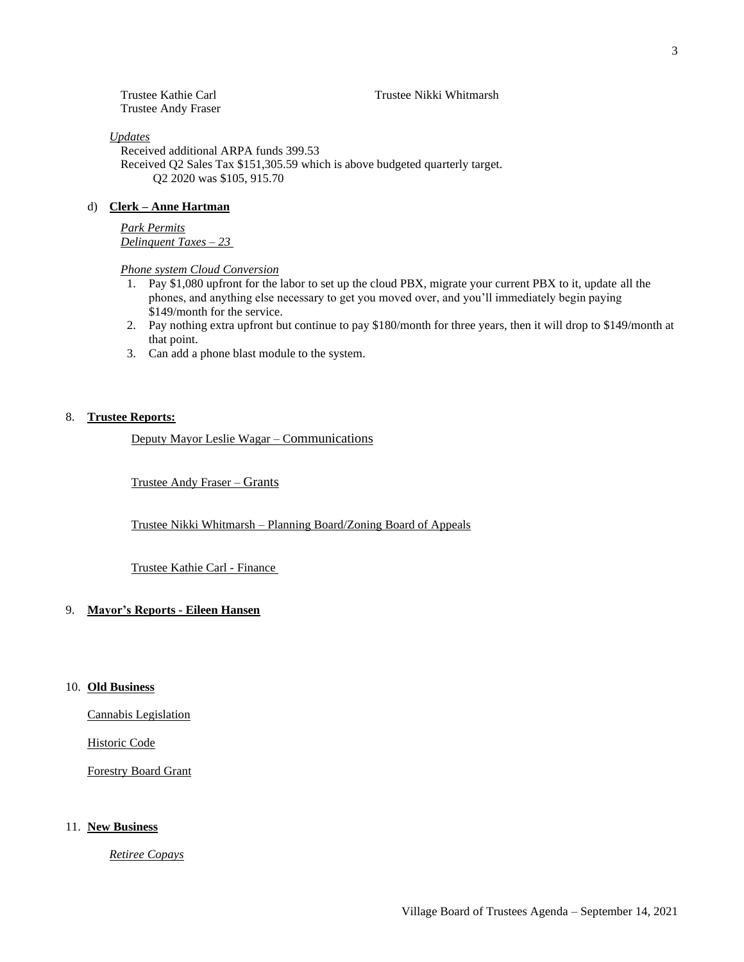#### d) **Clerk – Anne Hartman**

*Updates*

Trustee Andy Fraser

# *Park Permits*

*Delinquent Taxes – 23* 

# *Phone system Cloud Conversion*

Received additional ARPA funds 399.53

Q2 2020 was \$105, 915.70

- 1. Pay \$1,080 upfront for the labor to set up the cloud PBX, migrate your current PBX to it, update all the phones, and anything else necessary to get you moved over, and you'll immediately begin paying \$149/month for the service.
- 2. Pay nothing extra upfront but continue to pay \$180/month for three years, then it will drop to \$149/month at that point.
- 3. Can add a phone blast module to the system.

#### 8. **Trustee Reports:**

Deputy Mayor Leslie Wagar – Communications

Trustee Andy Fraser – Grants

Trustee Nikki Whitmarsh – Planning Board/Zoning Board of Appeals

Trustee Kathie Carl Trustee Nikki Whitmarsh

Received Q2 Sales Tax \$151,305.59 which is above budgeted quarterly target.

Trustee Kathie Carl - Finance

# 9. **Mayor's Reports - Eileen Hansen**

# 10. **Old Business**

Cannabis Legislation

Historic Code

Forestry Board Grant

#### 11. **New Business**

*Retiree Copays*